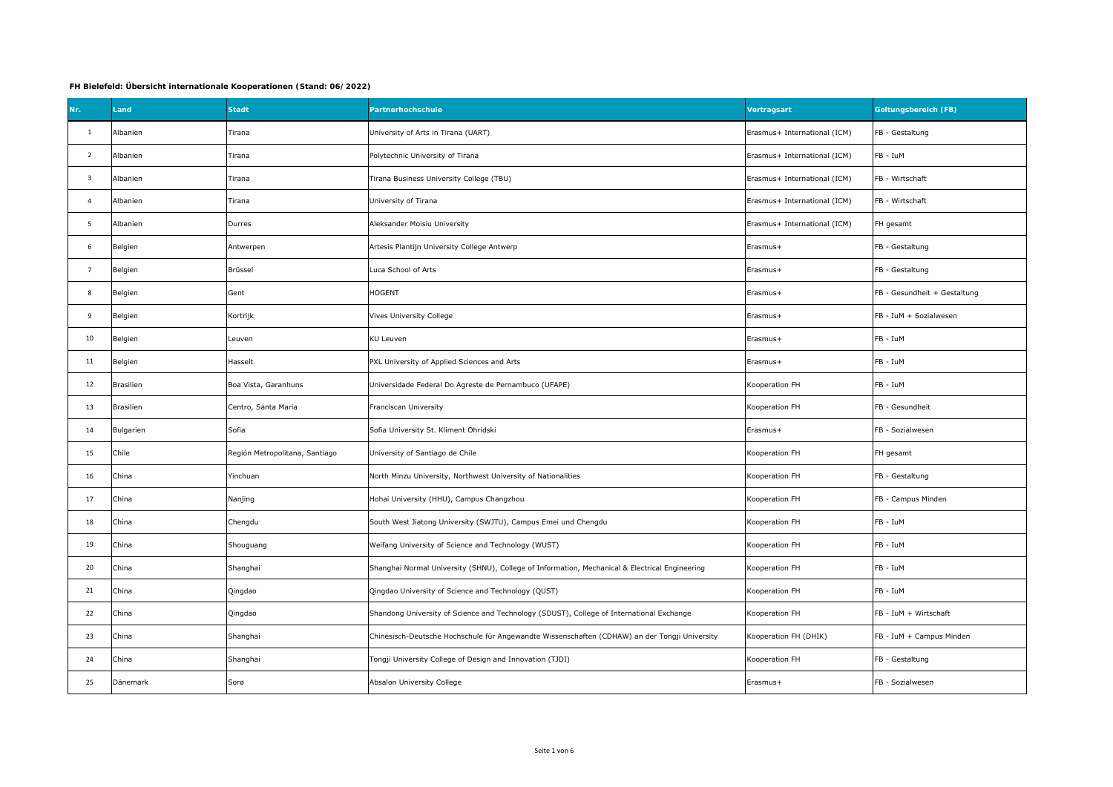## **FH Bielefeld: Übersicht internationale Kooperationen (Stand: 06/2022)**

| Nr.                     | Land      | <b>Stadt</b>                   | Partnerhochschule                                                                              | Vertragsart                  | <b>Geltungsbereich (FB)</b>  |
|-------------------------|-----------|--------------------------------|------------------------------------------------------------------------------------------------|------------------------------|------------------------------|
| $\mathbf{1}$            | Albanien  | Tirana                         | University of Arts in Tirana (UART)                                                            | Erasmus+ International (ICM) | FB - Gestaltung              |
| $\overline{2}$          | Albanien  | Tirana                         | Polytechnic University of Tirana                                                               | Erasmus+ International (ICM) | FB - IuM                     |
| $\overline{\mathbf{3}}$ | Albanien  | Tirana                         | Tirana Business University College (TBU)                                                       | Erasmus+ International (ICM) | FB - Wirtschaft              |
| $\overline{4}$          | Albanien  | Tirana                         | University of Tirana                                                                           | Erasmus+ International (ICM) | FB - Wirtschaft              |
| 5                       | Albanien  | Durres                         | Aleksander Moisiu University                                                                   | Erasmus+ International (ICM) | FH gesamt                    |
| 6                       | Belgien   | Antwerpen                      | Artesis Plantijn University College Antwerp                                                    | Erasmus+                     | FB - Gestaltung              |
| $\overline{7}$          | Belgien   | Brüssel                        | Luca School of Arts                                                                            | Erasmus+                     | FB - Gestaltung              |
| 8                       | Belgien   | Gent                           | <b>HOGENT</b>                                                                                  | Erasmus+                     | FB - Gesundheit + Gestaltung |
| 9                       | Belgien   | Kortrijk                       | Vives University College                                                                       | Erasmus+                     | FB - IuM + Sozialwesen       |
| 10                      | Belgien   | Leuven                         | <b>KU Leuven</b>                                                                               | Erasmus+                     | FB - IuM                     |
| 11                      | Belgien   | Hasselt                        | PXL University of Applied Sciences and Arts                                                    | Erasmus+                     | FB - IuM                     |
| 12                      | Brasilien | Boa Vista, Garanhuns           | Universidade Federal Do Agreste de Pernambuco (UFAPE)                                          | Kooperation FH               | FB - IuM                     |
| 13                      | Brasilien | Centro, Santa Maria            | Franciscan University                                                                          | Kooperation FH               | FB - Gesundheit              |
| 14                      | Bulgarien | Sofia                          | Sofia University St. Kliment Ohridski                                                          | Erasmus+                     | FB - Sozialwesen             |
| 15                      | Chile     | Región Metropolitana, Santiago | University of Santiago de Chile                                                                | Kooperation FH               | FH gesamt                    |
| 16                      | China     | Yinchuan                       | North Minzu University, Northwest University of Nationalities                                  | Kooperation FH               | FB - Gestaltung              |
| 17                      | China     | Nanjing                        | Hohai University (HHU), Campus Changzhou                                                       | Kooperation FH               | FB - Campus Minden           |
| 18                      | China     | Chengdu                        | South West Jiatong University (SWJTU), Campus Emei und Chengdu                                 | Kooperation FH               | FB - IuM                     |
| 19                      | China     | Shouguang                      | Weifang University of Science and Technology (WUST)                                            | Kooperation FH               | FB - IuM                     |
| 20                      | China     | Shanghai                       | Shanghai Normal University (SHNU), College of Information, Mechanical & Electrical Engineering | Kooperation FH               | FB - IuM                     |
| 21                      | China     | Qingdao                        | Qingdao University of Science and Technology (QUST)                                            | Kooperation FH               | FB - IuM                     |
| 22                      | China     | Qingdao                        | Shandong University of Science and Technology (SDUST), College of International Exchange       | Kooperation FH               | FB - IuM + Wirtschaft        |
| 23                      | China     | Shanghai                       | Chinesisch-Deutsche Hochschule für Angewandte Wissenschaften (CDHAW) an der Tongji University  | Kooperation FH (DHIK)        | FB - IuM + Campus Minden     |
| 24                      | China     | Shanghai                       | Tongji University College of Design and Innovation (TJDI)                                      | Kooperation FH               | FB - Gestaltung              |
| 25                      | Dänemark  | Sorø                           | Absalon University College                                                                     | Erasmus+                     | FB - Sozialwesen             |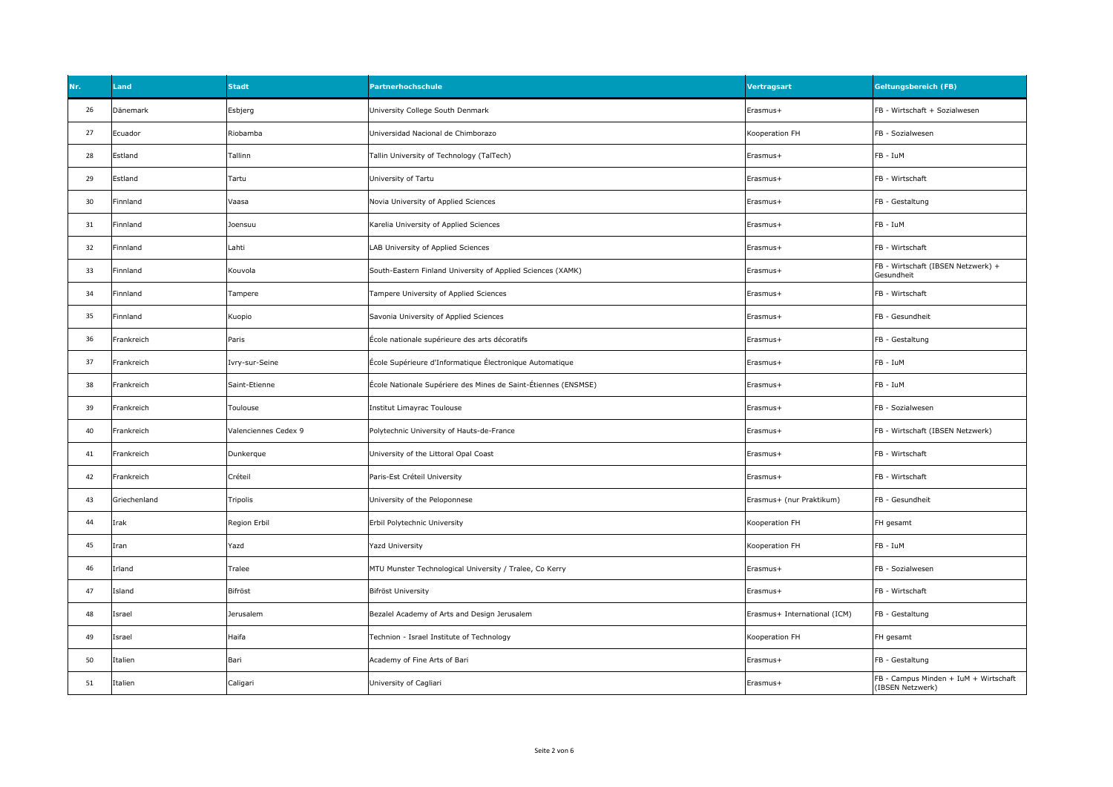| <b>Nr</b> | Land         | <b>Stadt</b>         | Partnerhochschule                                              | Vertragsart                  | <b>Geltungsbereich (FB)</b>                               |
|-----------|--------------|----------------------|----------------------------------------------------------------|------------------------------|-----------------------------------------------------------|
| 26        | Dänemark     | Esbjerg              | University College South Denmark                               | Erasmus+                     | FB - Wirtschaft + Sozialwesen                             |
| 27        | Ecuador      | Riobamba             | Universidad Nacional de Chimborazo                             | Kooperation FH               | FB - Sozialwesen                                          |
| 28        | Estland      | Tallinn              | Tallin University of Technology (TalTech)                      | Erasmus+                     | FB - IuM                                                  |
| 29        | Estland      | Tartu                | University of Tartu                                            | Erasmus+                     | FB - Wirtschaft                                           |
| 30        | Finnland     | Vaasa                | Novia University of Applied Sciences                           | Erasmus+                     | FB - Gestaltung                                           |
| 31        | Finnland     | Joensuu              | Karelia University of Applied Sciences                         | Erasmus+                     | FB - IuM                                                  |
| 32        | Finnland     | Lahti                | LAB University of Applied Sciences                             | Erasmus+                     | FB - Wirtschaft                                           |
| 33        | Finnland     | Kouvola              | South-Eastern Finland University of Applied Sciences (XAMK)    | Erasmus+                     | FB - Wirtschaft (IBSEN Netzwerk) +<br>Gesundheit          |
| 34        | Finnland     | Tampere              | Tampere University of Applied Sciences                         | Erasmus+                     | FB - Wirtschaft                                           |
| 35        | Finnland     | Kuopio               | Savonia University of Applied Sciences                         | Erasmus+                     | FB - Gesundheit                                           |
| 36        | Frankreich   | Paris                | École nationale supérieure des arts décoratifs                 | Erasmus+                     | FB - Gestaltung                                           |
| 37        | Frankreich   | Ivry-sur-Seine       | École Supérieure d'Informatique Électronique Automatique       | Erasmus+                     | FB - IuM                                                  |
| 38        | Frankreich   | Saint-Etienne        | École Nationale Supériere des Mines de Saint-Étiennes (ENSMSE) | Erasmus+                     | FB - IuM                                                  |
| 39        | Frankreich   | Toulouse             | Institut Limayrac Toulouse                                     | Erasmus+                     | FB - Sozialwesen                                          |
| 40        | Frankreich   | Valenciennes Cedex 9 | Polytechnic University of Hauts-de-France                      | Erasmus+                     | FB - Wirtschaft (IBSEN Netzwerk)                          |
| 41        | Frankreich   | Dunkerque            | University of the Littoral Opal Coast                          | Erasmus+                     | FB - Wirtschaft                                           |
| 42        | Frankreich   | Créteil              | Paris-Est Créteil University                                   | Erasmus+                     | FB - Wirtschaft                                           |
| 43        | Griechenland | Tripolis             | University of the Peloponnese                                  | Erasmus+ (nur Praktikum)     | FB - Gesundheit                                           |
| 44        | Irak         | Region Erbil         | Erbil Polytechnic University                                   | Kooperation FH               | FH gesamt                                                 |
| 45        | Iran         | Yazd                 | <b>Yazd University</b>                                         | Kooperation FH               | FB - IuM                                                  |
| 46        | Irland       | Tralee               | MTU Munster Technological University / Tralee, Co Kerry        | Erasmus+                     | FB - Sozialwesen                                          |
| 47        | Island       | Bifröst              | <b>Bifröst University</b>                                      | Erasmus+                     | FB - Wirtschaft                                           |
| 48        | Israel       | Jerusalem            | Bezalel Academy of Arts and Design Jerusalem                   | Erasmus+ International (ICM) | FB - Gestaltung                                           |
| 49        | Israel       | Haifa                | Technion - Israel Institute of Technology                      | Kooperation FH               | FH gesamt                                                 |
| 50        | Italien      | Bari                 | Academy of Fine Arts of Bari                                   | Erasmus+                     | FB - Gestaltung                                           |
| 51        | Italien      | Caligari             | University of Cagliari                                         | Erasmus+                     | FB - Campus Minden + IuM + Wirtschaft<br>(IBSEN Netzwerk) |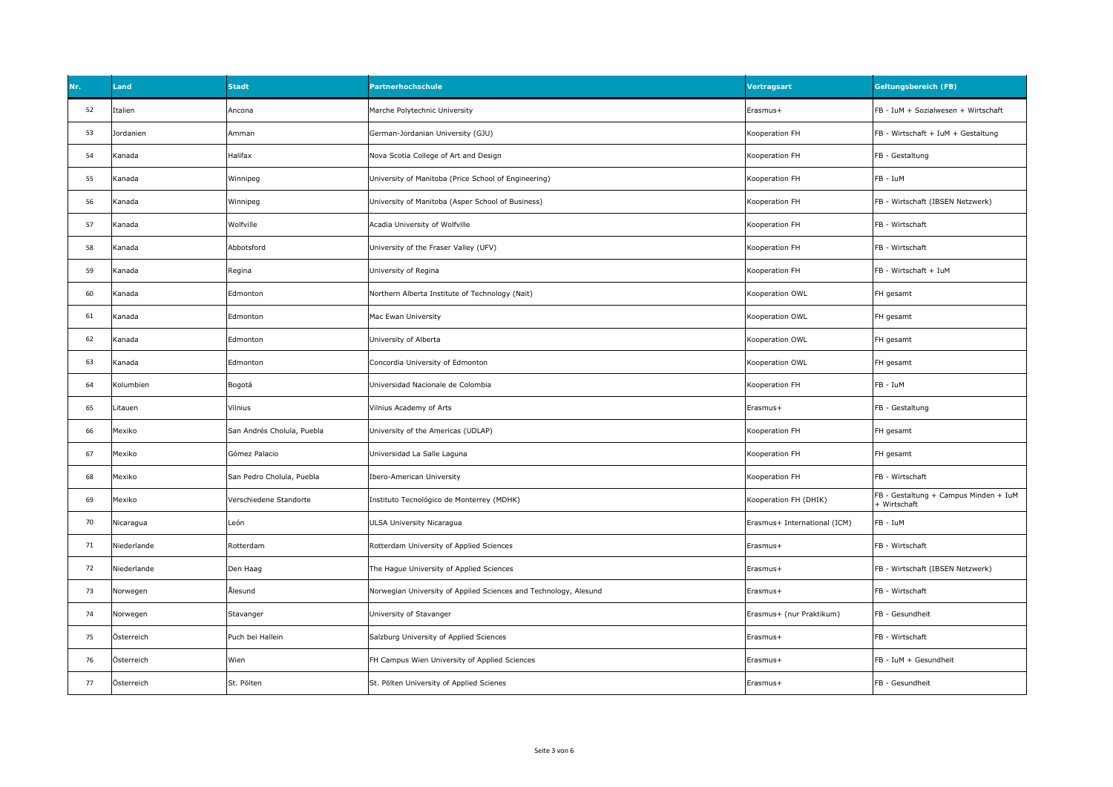| Nr. | Land        | <b>Stadt</b>               | Partnerhochschule                                                | Vertragsart                  | <b>Geltungsbereich (FB)</b>                           |
|-----|-------------|----------------------------|------------------------------------------------------------------|------------------------------|-------------------------------------------------------|
| 52  | Italien     | Ancona                     | Marche Polytechnic University                                    | Erasmus+                     | FB - IuM + Sozialwesen + Wirtschaft                   |
| 53  | Jordanien   | Amman                      | German-Jordanian University (GJU)                                | Kooperation FH               | FB - Wirtschaft + IuM + Gestaltung                    |
| 54  | Kanada      | Halifax                    | Nova Scotia College of Art and Design                            | Kooperation FH               | FB - Gestaltung                                       |
| 55  | Kanada      | Winnipeg                   | University of Manitoba (Price School of Engineering)             | Kooperation FH               | FB - IuM                                              |
| 56  | Kanada      | Winnipeg                   | University of Manitoba (Asper School of Business)                | Kooperation FH               | FB - Wirtschaft (IBSEN Netzwerk)                      |
| 57  | Kanada      | Wolfville                  | Acadia University of Wolfville                                   | Kooperation FH               | FB - Wirtschaft                                       |
| 58  | Kanada      | Abbotsford                 | University of the Fraser Valley (UFV)                            | Kooperation FH               | FB - Wirtschaft                                       |
| 59  | Kanada      | Regina                     | University of Regina                                             | Kooperation FH               | FB - Wirtschaft + IuM                                 |
| 60  | Kanada      | Edmonton                   | Northern Alberta Institute of Technology (Nait)                  | Kooperation OWL              | FH gesamt                                             |
| 61  | Kanada      | Edmonton                   | Mac Ewan University                                              | Kooperation OWL              | FH gesamt                                             |
| 62  | Kanada      | Edmonton                   | University of Alberta                                            | Kooperation OWL              | FH gesamt                                             |
| 63  | Kanada      | Edmonton                   | Concordia University of Edmonton                                 | Kooperation OWL              | FH gesamt                                             |
| 64  | Kolumbien   | Bogotá                     | Universidad Nacionale de Colombia                                | Kooperation FH               | FB - IuM                                              |
| 65  | Litauen     | Vilnius                    | Vilnius Academy of Arts                                          | Erasmus+                     | FB - Gestaltung                                       |
| 66  | Mexiko      | San Andrés Cholula, Puebla | University of the Americas (UDLAP)                               | Kooperation FH               | FH gesamt                                             |
| 67  | Mexiko      | Gómez Palacio              | Universidad La Salle Laguna                                      | Kooperation FH               | FH gesamt                                             |
| 68  | Mexiko      | San Pedro Cholula, Puebla  | Ibero-American University                                        | Kooperation FH               | FB - Wirtschaft                                       |
| 69  | Mexiko      | Verschiedene Standorte     | Instituto Tecnológico de Monterrey (MDHK)                        | Kooperation FH (DHIK)        | FB - Gestaltung + Campus Minden + IuM<br>+ Wirtschaft |
| 70  | Nicaragua   | León                       | ULSA University Nicaragua                                        | Erasmus+ International (ICM) | FB - IuM                                              |
| 71  | Niederlande | Rotterdam                  | Rotterdam University of Applied Sciences                         | Erasmus+                     | FB - Wirtschaft                                       |
| 72  | Niederlande | Den Haag                   | The Hague University of Applied Sciences                         | Erasmus+                     | FB - Wirtschaft (IBSEN Netzwerk)                      |
| 73  | Norwegen    | Ålesund                    | Norwegian University of Applied Sciences and Technology, Alesund | Erasmus+                     | FB - Wirtschaft                                       |
| 74  | Norwegen    | Stavanger                  | University of Stavanger                                          | Erasmus+ (nur Praktikum)     | FB - Gesundheit                                       |
| 75  | Österreich  | Puch bei Hallein           | Salzburg University of Applied Sciences                          | Erasmus+                     | FB - Wirtschaft                                       |
| 76  | Österreich  | Wien                       | FH Campus Wien University of Applied Sciences                    | Erasmus+                     | FB - IuM + Gesundheit                                 |
| 77  | Österreich  | St. Pölten                 | St. Pölten University of Applied Scienes                         | Erasmus+                     | FB - Gesundheit                                       |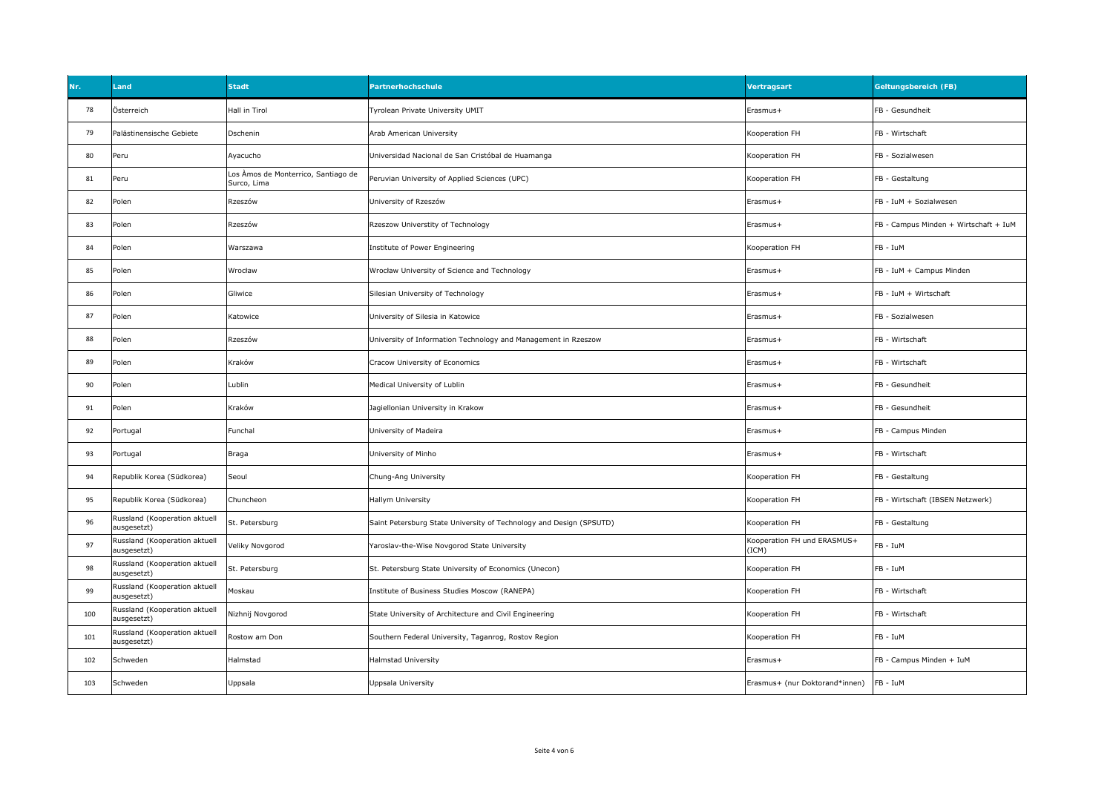| Nr. | Land                                         | <b>Stadt</b>                                       | Partnerhochschule                                                   | Vertragsart                          | <b>Geltungsbereich (FB)</b>           |
|-----|----------------------------------------------|----------------------------------------------------|---------------------------------------------------------------------|--------------------------------------|---------------------------------------|
| 78  | Österreich                                   | Hall in Tirol                                      | Tyrolean Private University UMIT                                    | Erasmus+                             | FB - Gesundheit                       |
| 79  | Palästinensische Gebiete                     | Dschenin                                           | Arab American University                                            | Kooperation FH                       | FB - Wirtschaft                       |
| 80  | Peru                                         | Ayacucho                                           | Universidad Nacional de San Cristóbal de Huamanga                   | Kooperation FH                       | FB - Sozialwesen                      |
| 81  | Peru                                         | Los Àmos de Monterrico, Santiago de<br>Surco, Lima | Peruvian University of Applied Sciences (UPC)                       | Kooperation FH                       | FB - Gestaltung                       |
| 82  | Polen                                        | Rzeszów                                            | University of Rzeszów                                               | Erasmus+                             | FB - IuM + Sozialwesen                |
| 83  | Polen                                        | Rzeszów                                            | Rzeszow Universtity of Technology                                   | Erasmus+                             | FB - Campus Minden + Wirtschaft + IuM |
| 84  | Polen                                        | Warszawa                                           | Institute of Power Engineering                                      | Kooperation FH                       | FB - IuM                              |
| 85  | Polen                                        | Wrocław                                            | Wrocław University of Science and Technology                        | Erasmus+                             | FB - IuM + Campus Minden              |
| 86  | Polen                                        | Gliwice                                            | Silesian University of Technology                                   | Erasmus+                             | FB - IuM + Wirtschaft                 |
| 87  | Polen                                        | Katowice                                           | Jniversity of Silesia in Katowice                                   | Erasmus+                             | FB - Sozialwesen                      |
| 88  | Polen                                        | Rzeszów                                            | University of Information Technology and Management in Rzeszow      | Erasmus+                             | FB - Wirtschaft                       |
| 89  | Polen                                        | Kraków                                             | Cracow University of Economics                                      | Erasmus+                             | FB - Wirtschaft                       |
| 90  | Polen                                        | Lublin                                             | Medical University of Lublin                                        | Erasmus+                             | FB - Gesundheit                       |
| 91  | Polen                                        | Kraków                                             | Jagiellonian University in Krakow                                   | Erasmus+                             | FB - Gesundheit                       |
| 92  | Portugal                                     | Funchal                                            | University of Madeira                                               | Erasmus+                             | FB - Campus Minden                    |
| 93  | Portugal                                     | Braga                                              | University of Minho                                                 | Erasmus+                             | FB - Wirtschaft                       |
| 94  | Republik Korea (Südkorea)                    | Seoul                                              | Chung-Ang University                                                | Kooperation FH                       | FB - Gestaltung                       |
| 95  | Republik Korea (Südkorea)                    | Chuncheon                                          | Hallym University                                                   | Kooperation FH                       | FB - Wirtschaft (IBSEN Netzwerk)      |
| 96  | Russland (Kooperation aktuell<br>ausgesetzt) | St. Petersburg                                     | Saint Petersburg State University of Technology and Design (SPSUTD) | Kooperation FH                       | FB - Gestaltung                       |
| 97  | Russland (Kooperation aktuell<br>ausgesetzt) | Veliky Novgorod                                    | Yaroslav-the-Wise Novgorod State University                         | Kooperation FH und ERASMUS+<br>(ICM) | FB - IuM                              |
| 98  | Russland (Kooperation aktuell<br>ausgesetzt) | St. Petersburg                                     | St. Petersburg State University of Economics (Unecon)               | Kooperation FH                       | FB - IuM                              |
| 99  | Russland (Kooperation aktuell<br>ausgesetzt) | Moskau                                             | Institute of Business Studies Moscow (RANEPA)                       | Kooperation FH                       | FB - Wirtschaft                       |
| 100 | Russland (Kooperation aktuell<br>ausgesetzt) | Nizhnij Novgorod                                   | State University of Architecture and Civil Engineering              | Kooperation FH                       | FB - Wirtschaft                       |
| 101 | Russland (Kooperation aktuell<br>ausgesetzt) | Rostow am Don                                      | Southern Federal University, Taganrog, Rostov Region                | Kooperation FH                       | FB - IuM                              |
| 102 | Schweden                                     | Halmstad                                           | Halmstad University                                                 | Erasmus+                             | FB - Campus Minden + IuM              |
| 103 | Schweden                                     | Uppsala                                            | Jppsala University                                                  | Erasmus+ (nur Doktorand*innen)       | FB - IuM                              |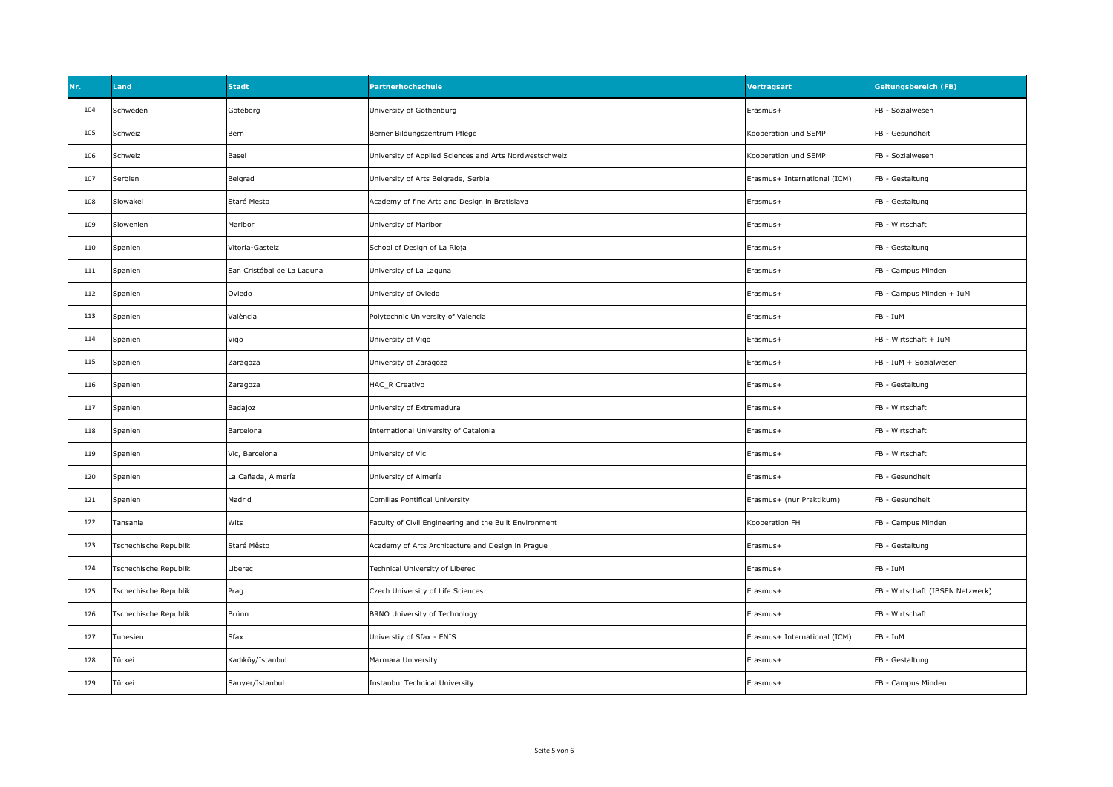| Nr. | Land                  | <b>Stadt</b>               | Partnerhochschule                                       | Vertragsart                  | Geltungsbereich (FB)             |
|-----|-----------------------|----------------------------|---------------------------------------------------------|------------------------------|----------------------------------|
| 104 | Schweden              | Göteborg                   | University of Gothenburg                                | Erasmus+                     | FB - Sozialwesen                 |
| 105 | Schweiz               | Bern                       | Berner Bildungszentrum Pflege                           | Kooperation und SEMP         | FB - Gesundheit                  |
| 106 | Schweiz               | Basel                      | University of Applied Sciences and Arts Nordwestschweiz | Kooperation und SEMP         | FB - Sozialwesen                 |
| 107 | Serbien               | Belgrad                    | University of Arts Belgrade, Serbia                     | Erasmus+ International (ICM) | FB - Gestaltung                  |
| 108 | Slowakei              | Staré Mesto                | Academy of fine Arts and Design in Bratislava           | Erasmus+                     | FB - Gestaltung                  |
| 109 | Slowenien             | Maribor                    | University of Maribor                                   | Erasmus+                     | FB - Wirtschaft                  |
| 110 | Spanien               | Vitoria-Gasteiz            | School of Design of La Rioja                            | Erasmus+                     | FB - Gestaltung                  |
| 111 | Spanien               | San Cristóbal de La Laguna | University of La Laguna                                 | Erasmus+                     | FB - Campus Minden               |
| 112 | Spanien               | Oviedo                     | University of Oviedo                                    | Erasmus+                     | FB - Campus Minden + IuM         |
| 113 | Spanien               | València                   | Polytechnic University of Valencia                      | Erasmus+                     | FB - IuM                         |
| 114 | Spanien               | Vigo                       | University of Vigo                                      | Erasmus+                     | FB - Wirtschaft + IuM            |
| 115 | Spanien               | Zaragoza                   | University of Zaragoza                                  | Erasmus+                     | FB - IuM + Sozialwesen           |
| 116 | Spanien               | Zaragoza                   | HAC_R Creativo                                          | Erasmus+                     | FB - Gestaltung                  |
| 117 | Spanien               | Badajoz                    | University of Extremadura                               | Erasmus+                     | FB - Wirtschaft                  |
| 118 | Spanien               | Barcelona                  | International University of Catalonia                   | Erasmus+                     | FB - Wirtschaft                  |
| 119 | Spanien               | Vic, Barcelona             | University of Vic                                       | Erasmus+                     | FB - Wirtschaft                  |
| 120 | Spanien               | La Cañada, Almería         | University of Almería                                   | Erasmus+                     | FB - Gesundheit                  |
| 121 | Spanien               | Madrid                     | Comillas Pontifical University                          | Erasmus+ (nur Praktikum)     | FB - Gesundheit                  |
| 122 | Tansania              | Wits                       | Faculty of Civil Engineering and the Built Environment  | Kooperation FH               | FB - Campus Minden               |
| 123 | Tschechische Republik | Staré Město                | Academy of Arts Architecture and Design in Prague       | Erasmus+                     | FB - Gestaltung                  |
| 124 | Tschechische Republik | Liberec                    | Technical University of Liberec                         | Erasmus+                     | FB - IuM                         |
| 125 | Tschechische Republik | Prag                       | Czech University of Life Sciences                       | Erasmus+                     | FB - Wirtschaft (IBSEN Netzwerk) |
| 126 | Tschechische Republik | Brünn                      | BRNO University of Technology                           | Erasmus+                     | FB - Wirtschaft                  |
| 127 | Tunesien              | Sfax                       | Universtiy of Sfax - ENIS                               | Erasmus+ International (ICM) | FB - IuM                         |
| 128 | Türkei                | Kadıköy/Istanbul           | Marmara University                                      | Erasmus+                     | FB - Gestaltung                  |
| 129 | Türkei                | Sarıyer/İstanbul           | Instanbul Technical University                          | Erasmus+                     | FB - Campus Minden               |